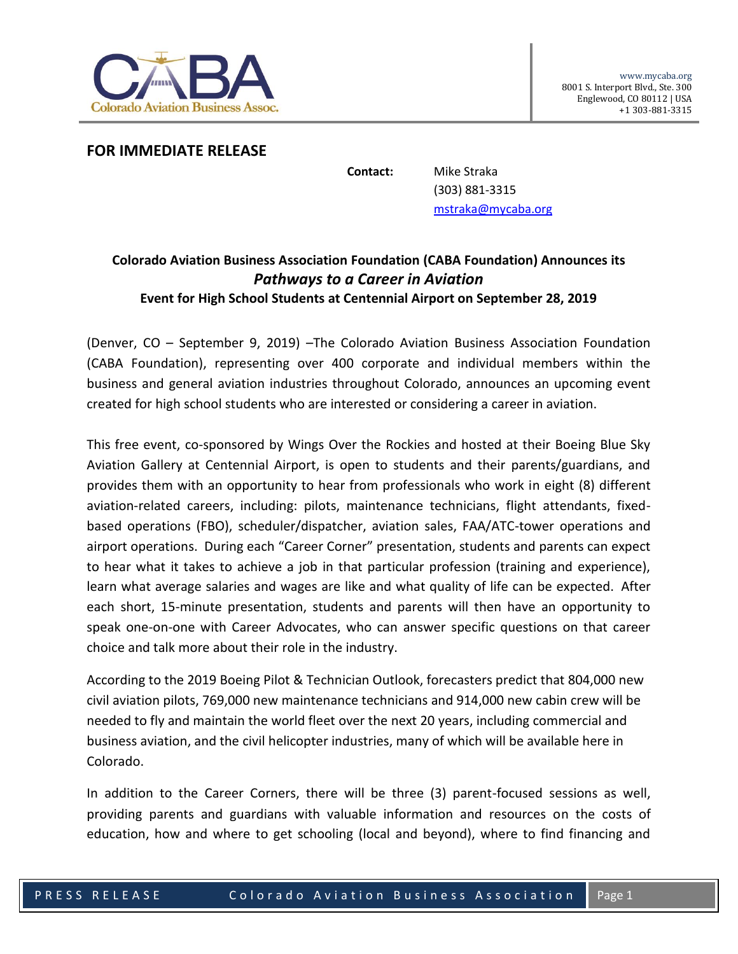

## **FOR IMMEDIATE RELEASE**

**Contact:** Mike Straka (303) 881-3315 [mstraka@mycaba.org](mailto:mstraka@mycaba.org)

## **Colorado Aviation Business Association Foundation (CABA Foundation) Announces its** *Pathways to a Career in Aviation*  **Event for High School Students at Centennial Airport on September 28, 2019**

(Denver, CO – [September 9, 2019\)](x-webdoc://6DC2CA59-EC54-46B7-9401-6F30328B3E31/) –The Colorado Aviation Business Association Foundation (CABA Foundation), representing over 400 corporate and individual members within the business and general aviation industries throughout Colorado, announces an upcoming event created for high school students who are interested or considering a career in aviation.

This free event, co-sponsored by Wings Over the Rockies and hosted at their Boeing Blue Sky Aviation Gallery at Centennial Airport, is open to students and their parents/guardians, and provides them with an opportunity to hear from professionals who work in eight (8) different aviation-related careers, including: pilots, maintenance technicians, flight attendants, fixedbased operations (FBO), scheduler/dispatcher, aviation sales, FAA/ATC-tower operations and airport operations. During each "Career Corner" presentation, students and parents can expect to hear what it takes to achieve a job in that particular profession (training and experience), learn what average salaries and wages are like and what quality of life can be expected. After each short, 15-minute presentation, students and parents will then have an opportunity to speak one-on-one with Career Advocates, who can answer specific questions on that career choice and talk more about their role in the industry.

According to the 2019 Boeing Pilot & Technician Outlook, forecasters predict that 804,000 new civil aviation pilots, 769,000 new maintenance technicians and 914,000 new cabin crew will be needed to fly and maintain the world fleet over the next 20 years, including commercial and business aviation, and the civil helicopter industries, many of which will be available here in Colorado.

In addition to the Career Corners, there will be three (3) parent-focused sessions as well, providing parents and guardians with valuable information and resources on the costs of education, how and where to get schooling (local and beyond), where to find financing and